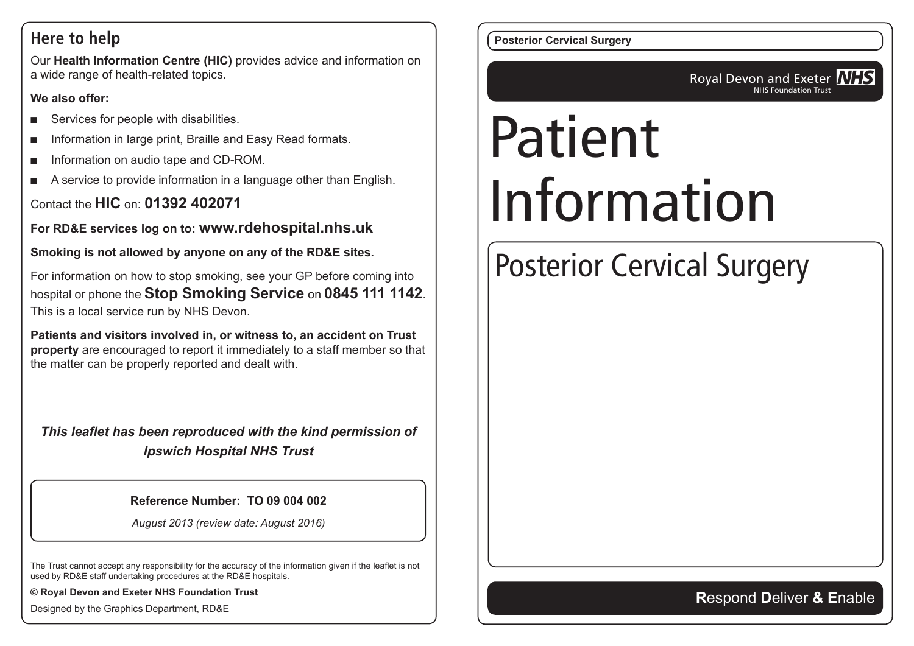#### **Here to help**

Our **Health Information Centre (HIC)** provides advice and information on a wide range of health-related topics.

#### **We also offer:**

- Services for people with disabilities.
- Information in large print, Braille and Easy Read formats.
- Information on audio tape and CD-ROM.
- A service to provide information in a language other than English.

#### Contact the **HIC** on: **01392 402071**

**For RD&E services log on to: www.rdehospital.nhs.uk**

**Smoking is not allowed by anyone on any of the RD&E sites.**

For information on how to stop smoking, see your GP before coming into hospital or phone the **Stop Smoking Service** on **0845 111 1142**. This is a local service run by NHS Devon.

**Patients and visitors involved in, or witness to, an accident on Trust property** are encouraged to report it immediately to a staff member so that the matter can be properly reported and dealt with.

*This leaflet has been reproduced with the kind permission of Ipswich Hospital NHS Trust*

#### **Reference Number: TO 09 004 002**

*August 2013 (review date: August 2016)*

The Trust cannot accept any responsibility for the accuracy of the information given if the leaflet is not used by RD&E staff undertaking procedures at the RD&E hospitals.

**© Royal Devon and Exeter NHS Foundation Trust**

Designed by the Graphics Department, RD&E

**Posterior Cervical Surgery**

Royal Devon and Exeter **NHS** NHS Foundation Trust

# Patient Information

# Posterior Cervical Surgery

#### **R**espond **D**eliver **& E**nable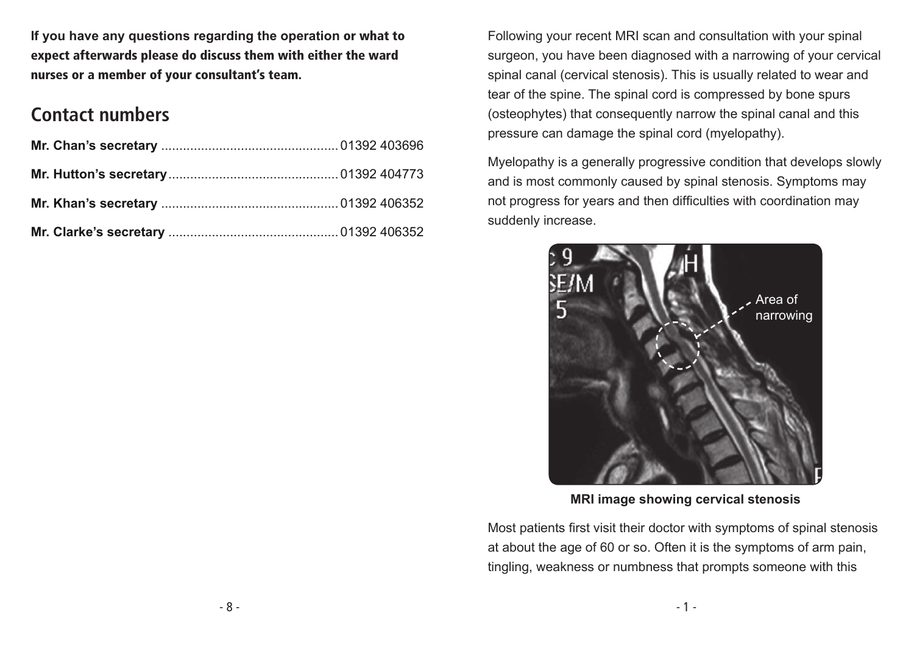**If you have any questions regarding the operation** or what to expect afterwards please do discuss them with either the ward nurses or a member of your consultant's team.

### **Contact numbers**

Following your recent MRI scan and consultation with your spinal surgeon, you have been diagnosed with a narrowing of your cervical spinal canal (cervical stenosis). This is usually related to wear and tear of the spine. The spinal cord is compressed by bone spurs (osteophytes) that consequently narrow the spinal canal and this pressure can damage the spinal cord (myelopathy).

Myelopathy is a generally progressive condition that develops slowly and is most commonly caused by spinal stenosis. Symptoms may not progress for years and then difficulties with coordination may suddenly increase.



**MRI image showing cervical stenosis**

Most patients first visit their doctor with symptoms of spinal stenosis at about the age of 60 or so. Often it is the symptoms of arm pain, tingling, weakness or numbness that prompts someone with this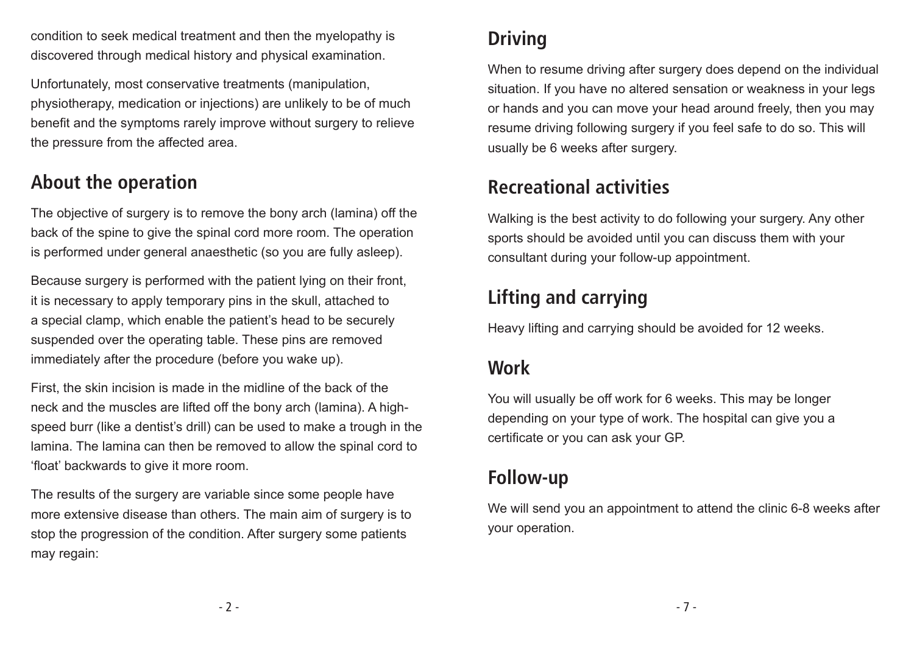condition to seek medical treatment and then the myelopathy is discovered through medical history and physical examination.

Unfortunately, most conservative treatments (manipulation, physiotherapy, medication or injections) are unlikely to be of much benefit and the symptoms rarely improve without surgery to relieve the pressure from the affected area.

# **About the operation**

The objective of surgery is to remove the bony arch (lamina) off the back of the spine to give the spinal cord more room. The operation is performed under general anaesthetic (so you are fully asleep).

Because surgery is performed with the patient lying on their front, it is necessary to apply temporary pins in the skull, attached to a special clamp, which enable the patient's head to be securely suspended over the operating table. These pins are removed immediately after the procedure (before you wake up).

First, the skin incision is made in the midline of the back of the neck and the muscles are lifted off the bony arch (lamina). A highspeed burr (like a dentist's drill) can be used to make a trough in the lamina. The lamina can then be removed to allow the spinal cord to 'float' backwards to give it more room.

The results of the surgery are variable since some people have more extensive disease than others. The main aim of surgery is to stop the progression of the condition. After surgery some patients may regain:

# **Driving**

When to resume driving after surgery does depend on the individual situation. If you have no altered sensation or weakness in your legs or hands and you can move your head around freely, then you may resume driving following surgery if you feel safe to do so. This will usually be 6 weeks after surgery.

# **Recreational activities**

Walking is the best activity to do following your surgery. Any other sports should be avoided until you can discuss them with your consultant during your follow-up appointment.

# **Lifting and carrying**

Heavy lifting and carrying should be avoided for 12 weeks.

### **Work**

You will usually be off work for 6 weeks. This may be longer depending on your type of work. The hospital can give you a certificate or you can ask your GP.

### **Follow-up**

We will send you an appointment to attend the clinic 6-8 weeks after your operation.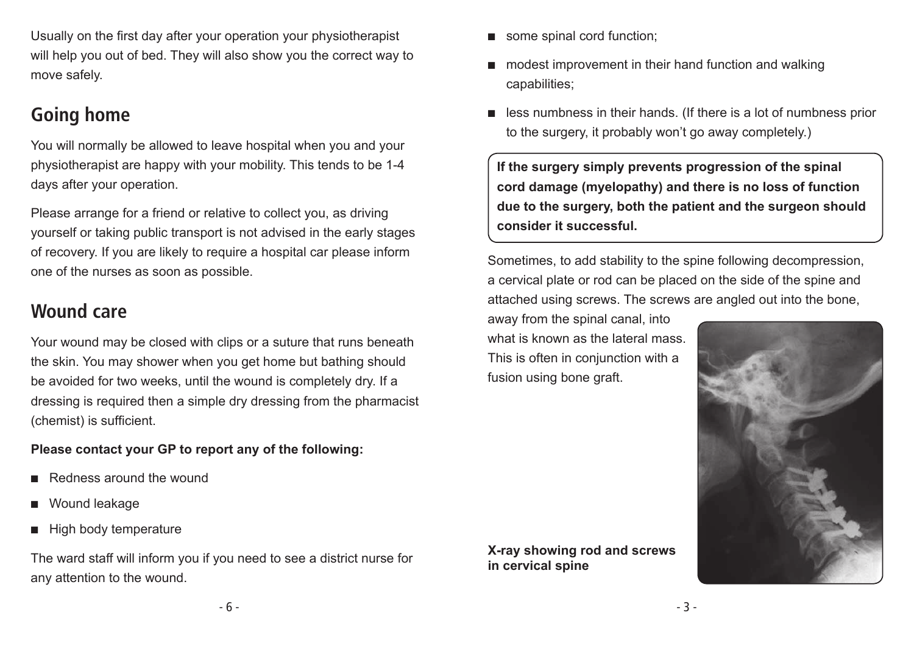Usually on the first day after your operation your physiotherapist will help you out of bed. They will also show you the correct way to move safely.

# **Going home**

You will normally be allowed to leave hospital when you and your physiotherapist are happy with your mobility. This tends to be 1-4 days after your operation.

Please arrange for a friend or relative to collect you, as driving yourself or taking public transport is not advised in the early stages of recovery. If you are likely to require a hospital car please inform one of the nurses as soon as possible.

#### **Wound care**

Your wound may be closed with clips or a suture that runs beneath the skin. You may shower when you get home but bathing should be avoided for two weeks, until the wound is completely dry. If a dressing is required then a simple dry dressing from the pharmacist (chemist) is sufficient.

#### **Please contact your GP to report any of the following:**

- Redness around the wound
- Wound leakage
- **High body temperature**

The ward staff will inform you if you need to see a district nurse for any attention to the wound.

- modest improvement in their hand function and walking capabilities;
- less numbness in their hands. (If there is a lot of numbness prior to the surgery, it probably won't go away completely.)

**If the surgery simply prevents progression of the spinal cord damage (myelopathy) and there is no loss of function due to the surgery, both the patient and the surgeon should consider it successful.**

Sometimes, to add stability to the spine following decompression, a cervical plate or rod can be placed on the side of the spine and attached using screws. The screws are angled out into the bone,

away from the spinal canal, into what is known as the lateral mass. This is often in conjunction with a fusion using bone graft.



**X-ray showing rod and screws in cervical spine**